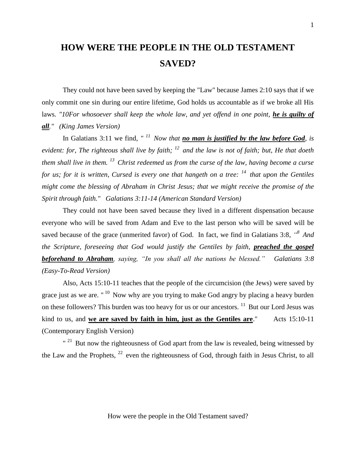# **HOW WERE THE PEOPLE IN THE OLD TESTAMENT SAVED?**

They could not have been saved by keeping the "Law" because James 2:10 says that if we only commit one sin during our entire lifetime, God holds us accountable as if we broke all His laws. "10For whosoever shall keep the whole law, and yet offend in one point, he is guilty of *all." (King James Version)* 

In Galatians 3:11 we find, "<sup>11</sup> Now that **no man is justified by the law before God**, is *evident: for, The righteous shall live by faith; <sup>12</sup>and the law is not of faith; but, He that doeth them shall live in them. <sup>13</sup>Christ redeemed us from the curse of the law, having become a curse for us; for it is written, Cursed is every one that hangeth on a tree: <sup>14</sup>that upon the Gentiles might come the blessing of Abraham in Christ Jesus; that we might receive the promise of the Spirit through faith." Galatians 3:11-14 (American Standard Version)*

They could not have been saved because they lived in a different dispensation because everyone who will be saved from Adam and Eve to the last person who will be saved will be saved because of the grace (unmerited favor) of God. In fact, we find in Galatians 3:8,  $\cdot$ <sup>8</sup> And *the Scripture, foreseeing that God would justify the Gentiles by faith, preached the gospel beforehand to Abraham, saying, "In you shall all the nations be blessed." Galatians 3:8 (Easy-To-Read Version)*

Also, Acts 15:10-11 teaches that the people of the circumcision (the Jews) were saved by grace just as we are. "<sup>10</sup> Now why are you trying to make God angry by placing a heavy burden on these followers? This burden was too heavy for us or our ancestors.  $11$  But our Lord Jesus was kind to us, and **we are saved by faith in him, just as the Gentiles are**." Acts 15:10-11 (Contemporary English Version)

 $"$ <sup>21</sup> But now the righteousness of God apart from the law is revealed, being witnessed by the Law and the Prophets,  $^{22}$  even the righteousness of God, through faith in Jesus Christ, to all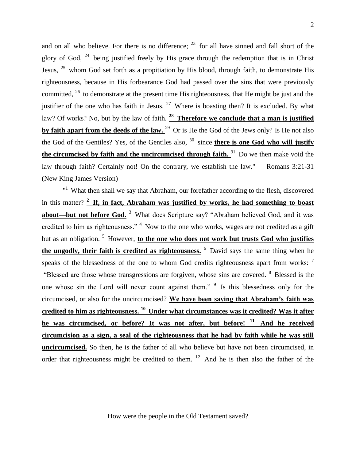and on all who believe. For there is no difference;  $23$  for all have sinned and fall short of the glory of God,  $^{24}$  being justified freely by His grace through the redemption that is in Christ Jesus,  $25$  whom God set forth as a propitiation by His blood, through faith, to demonstrate His righteousness, because in His forbearance God had passed over the sins that were previously committed,  $26$  to demonstrate at the present time His righteousness, that He might be just and the justifier of the one who has faith in Jesus.  $27$  Where is boasting then? It is excluded. By what law? Of works? No, but by the law of faith. **<sup>28</sup>Therefore we conclude that a man is justified**  by faith apart from the deeds of the law. <sup>29</sup> Or is He the God of the Jews only? Is He not also the God of the Gentiles? Yes, of the Gentiles also,  $30$  since **there is one God who will justify the circumcised by faith and the uncircumcised through faith.** <sup>31</sup> Do we then make void the law through faith? Certainly not! On the contrary, we establish the law." Romans 3:21-31 (New King James Version)

"<sup>1</sup> What then shall we say that Abraham, our forefather according to the flesh, discovered in this matter? <sup>2</sup> If, in fact, Abraham was justified by works, he had something to boast **about—but not before God.** <sup>3</sup> What does Scripture say? "Abraham believed God, and it was credited to him as righteousness."  $4$  Now to the one who works, wages are not credited as a gift but as an obligation.<sup>5</sup> However, **to the one who does not work but trusts God who justifies the ungodly, their faith is credited as righteousness.** <sup>6</sup> David says the same thing when he speaks of the blessedness of the one to whom God credits righteousness apart from works: <sup>7</sup> "Blessed are those whose transgressions are forgiven, whose sins are covered. <sup>8</sup> Blessed is the one whose sin the Lord will never count against them."  $9$  Is this blessedness only for the circumcised, or also for the uncircumcised? **We have been saying that Abraham's faith was credited to him as righteousness. <sup>10</sup>Under what circumstances was it credited? Was it after he was circumcised, or before? It was not after, but before! <sup>11</sup>And he received circumcision as a sign, a seal of the righteousness that he had by faith while he was still uncircumcised.** So then, he is the father of all who believe but have not been circumcised, in order that righteousness might be credited to them.  $12$  And he is then also the father of the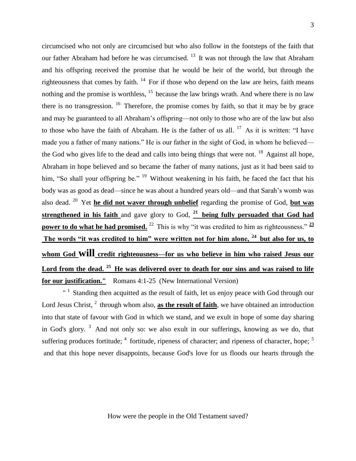circumcised who not only are circumcised but who also follow in the footsteps of the faith that our father Abraham had before he was circumcised.<sup>13</sup> It was not through the law that Abraham and his offspring received the promise that he would be heir of the world, but through the righteousness that comes by faith.  $14$  For if those who depend on the law are heirs, faith means nothing and the promise is worthless,  $15$  because the law brings wrath. And where there is no law there is no transgression. <sup>16</sup> Therefore, the promise comes by faith, so that it may be by grace and may be guaranteed to all Abraham's offspring—not only to those who are of the law but also to those who have the faith of Abraham. He is the father of us all.  $17$  As it is written: "I have made you a father of many nations." He is our father in the sight of God, in whom he believed the God who gives life to the dead and calls into being things that were not.  $18$  Against all hope, Abraham in hope believed and so became the father of many nations, just as it had been said to him, "So shall your offspring be."  $19$  Without weakening in his faith, he faced the fact that his body was as good as dead—since he was about a hundred years old—and that Sarah's womb was also dead. <sup>20</sup> Yet **he did not waver through unbelief** regarding the promise of God, **but was strengthened in his faith** and gave glory to God, **<sup>21</sup>being fully persuaded that God had power to do what he had promised.** <sup>22</sup> This is why "it was credited to him as righteousness."  $\frac{23}{2}$ **The words "it was credited to him" were written not for him alone, <sup>24</sup>but also for us, to whom God will credit righteousness—for us who believe in him who raised Jesus our Lord from the dead. <sup>25</sup>He was delivered over to death for our sins and was raised to life for our justification."** Romans 4:1-25 (New International Version)

 $1$  Standing then acquitted as the result of faith, let us enjoy peace with God through our Lord Jesus Christ, <sup>2</sup> through whom also, **as the result of faith**, we have obtained an introduction into that state of favour with God in which we stand, and we exult in hope of some day sharing in God's glory.<sup>3</sup> And not only so: we also exult in our sufferings, knowing as we do, that suffering produces fortitude;  $4$  fortitude, ripeness of character; and ripeness of character, hope;  $5$ and that this hope never disappoints, because God's love for us floods our hearts through the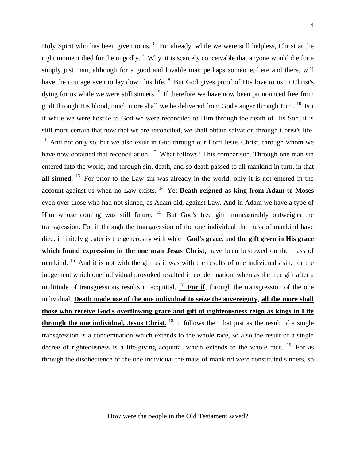4

Holy Spirit who has been given to us. <sup>6</sup> For already, while we were still helpless, Christ at the right moment died for the ungodly.<sup>7</sup> Why, it is scarcely conceivable that anyone would die for a simply just man, although for a good and lovable man perhaps someone, here and there, will have the courage even to lay down his life. <sup>8</sup> But God gives proof of His love to us in Christ's dying for us while we were still sinners.  $9$  If therefore we have now been pronounced free from guilt through His blood, much more shall we be delivered from God's anger through Him. <sup>10</sup> For if while we were hostile to God we were reconciled to Him through the death of His Son, it is still more certain that now that we are reconciled, we shall obtain salvation through Christ's life.  $11$  And not only so, but we also exult in God through our Lord Jesus Christ, through whom we have now obtained that reconciliation.  $12$  What follows? This comparison. Through one man sin entered into the world, and through sin, death, and so death passed to all mankind in turn, in that all sinned. <sup>13</sup> For prior to the Law sin was already in the world; only it is not entered in the account against us when no Law exists.<sup>14</sup> Yet **Death reigned as king from Adam to Moses** even over those who had not sinned, as Adam did, against Law. And in Adam we have a type of Him whose coming was still future. <sup>15</sup> But God's free gift immeasurably outweighs the transgression. For if through the transgression of the one individual the mass of mankind have died, infinitely greater is the generosity with which **God's grace**, and **the gift given in His grace which found expression in the one man Jesus Christ**, have been bestowed on the mass of mankind.  $16$  And it is not with the gift as it was with the results of one individual's sin; for the judgement which one individual provoked resulted in condemnation, whereas the free gift after a multitude of transgressions results in acquittal. <sup>17</sup> For if, through the transgression of the one individual, **Death made use of the one individual to seize the sovereignty**, **all the more shall those who receive God's overflowing grace and gift of righteousness reign as kings in Life through the one individual, Jesus Christ.** <sup>18</sup> It follows then that just as the result of a single transgression is a condemnation which extends to the whole race, so also the result of a single decree of righteousness is a life-giving acquittal which extends to the whole race.  $^{19}$  For as through the disobedience of the one individual the mass of mankind were constituted sinners, so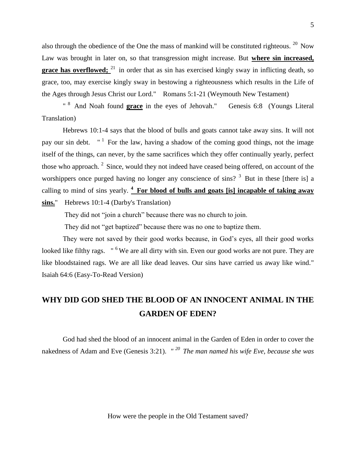also through the obedience of the One the mass of mankind will be constituted righteous.  $20$  Now Law was brought in later on, so that transgression might increase. But **where sin increased, grace has overflowed;** <sup>21</sup> in order that as sin has exercised kingly sway in inflicting death, so grace, too, may exercise kingly sway in bestowing a righteousness which results in the Life of the Ages through Jesus Christ our Lord." Romans 5:1-21 (Weymouth New Testament)

<sup>8</sup> And Noah found **grace** in the eyes of Jehovah." Genesis 6:8 (Youngs Literal Translation)

Hebrews 10:1-4 says that the blood of bulls and goats cannot take away sins. It will not pay our sin debt.  $"$ <sup>1</sup> For the law, having a shadow of the coming good things, not the image itself of the things, can never, by the same sacrifices which they offer continually yearly, perfect those who approach.  $2$  Since, would they not indeed have ceased being offered, on account of the worshippers once purged having no longer any conscience of sins?  $3$  But in these [there is] a calling to mind of sins yearly. **<sup>4</sup>For blood of bulls and goats [is] incapable of taking away sins.**" Hebrews 10:1-4 (Darby's Translation)

They did not "join a church" because there was no church to join.

They did not "get baptized" because there was no one to baptize them.

They were not saved by their good works because, in God's eyes, all their good works looked like filthy rags. "<sup>6</sup> We are all dirty with sin. Even our good works are not pure. They are like bloodstained rags. We are all like dead leaves. Our sins have carried us away like wind." Isaiah 64:6 (Easy-To-Read Version)

# **WHY DID GOD SHED THE BLOOD OF AN INNOCENT ANIMAL IN THE GARDEN OF EDEN?**

God had shed the blood of an innocent animal in the Garden of Eden in order to cover the nakedness of Adam and Eve (Genesis 3:21). *" <sup>20</sup>The man named his wife Eve, because she was*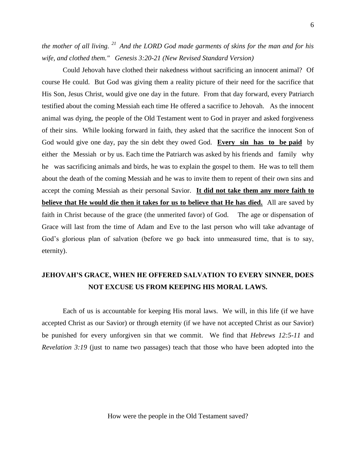*the mother of all living. <sup>21</sup>And the LORD God made garments of skins for the man and for his wife, and clothed them." Genesis 3:20-21 (New Revised Standard Version)*

Could Jehovah have clothed their nakedness without sacrificing an innocent animal? Of course He could. But God was giving them a reality picture of their need for the sacrifice that His Son, Jesus Christ, would give one day in the future. From that day forward, every Patriarch testified about the coming Messiah each time He offered a sacrifice to Jehovah. As the innocent animal was dying, the people of the Old Testament went to God in prayer and asked forgiveness of their sins. While looking forward in faith, they asked that the sacrifice the innocent Son of God would give one day, pay the sin debt they owed God. **Every sin has to be paid** by either the Messiah or by us. Each time the Patriarch was asked by his friends and family why he was sacrificing animals and birds, he was to explain the gospel to them. He was to tell them about the death of the coming Messiah and he was to invite them to repent of their own sins and accept the coming Messiah as their personal Savior. **It did not take them any more faith to believe that He would die then it takes for us to believe that He has died.** All are saved by faith in Christ because of the grace (the unmerited favor) of God. The age or dispensation of Grace will last from the time of Adam and Eve to the last person who will take advantage of God's glorious plan of salvation (before we go back into unmeasured time, that is to say, eternity).

## **JEHOVAH'S GRACE, WHEN HE OFFERED SALVATION TO EVERY SINNER, DOES NOT EXCUSE US FROM KEEPING HIS MORAL LAWS.**

Each of us is accountable for keeping His moral laws. We will, in this life (if we have accepted Christ as our Savior) or through eternity (if we have not accepted Christ as our Savior) be punished for every unforgiven sin that we commit. We find that *Hebrews 12:5-11* and *Revelation 3:19* (just to name two passages) teach that those who have been adopted into the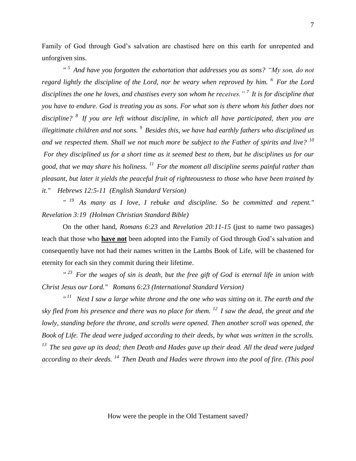Family of God through God's salvation are chastised here on this earth for unrepented and unforgiven sins.

*" <sup>5</sup>And have you forgotten the exhortation that addresses you as sons? "My son, do not regard lightly the discipline of the Lord, nor be weary when reproved by him. <sup>6</sup>For the Lord disciplines the one he loves, and chastises every son whom he receives." <sup>7</sup>It is for discipline that you have to endure. God is treating you as sons. For what son is there whom his father does not discipline? <sup>8</sup>If you are left without discipline, in which all have participated, then you are illegitimate children and not sons. <sup>9</sup>Besides this, we have had earthly fathers who disciplined us and we respected them. Shall we not much more be subject to the Father of spirits and live? <sup>10</sup> For they disciplined us for a short time as it seemed best to them, but he disciplines us for our good, that we may share his holiness. <sup>11</sup>For the moment all discipline seems painful rather than pleasant, but later it yields the peaceful fruit of righteousness to those who have been trained by it." Hebrews 12:5-11 (English Standard Version)*

*" <sup>19</sup>As many as I love, I rebuke and discipline. So be committed and repent." Revelation 3:19 (Holman Christian Standard Bible)*

On the other hand, *Romans 6:23* and *Revelation 20:11-15* (just to name two passages) teach that those who **have not** been adopted into the Family of God through God's salvation and consequently have not had their names written in the Lambs Book of Life, will be chastened for eternity for each sin they commit during their lifetime.

*" <sup>23</sup>For the wages of sin is death, but the free gift of God is eternal life in union with Christ Jesus our Lord." Romans 6:23 (International Standard Version)*

*" <sup>11</sup>Next I saw a large white throne and the one who was sitting on it. The earth and the sky fled from his presence and there was no place for them. <sup>12</sup>I saw the dead, the great and the lowly, standing before the throne, and scrolls were opened. Then another scroll was opened, the Book of Life. The dead were judged according to their deeds, by what was written in the scrolls. <sup>13</sup>The sea gave up its dead; then Death and Hades gave up their dead. All the dead were judged according to their deeds. <sup>14</sup>Then Death and Hades were thrown into the pool of fire. (This pool*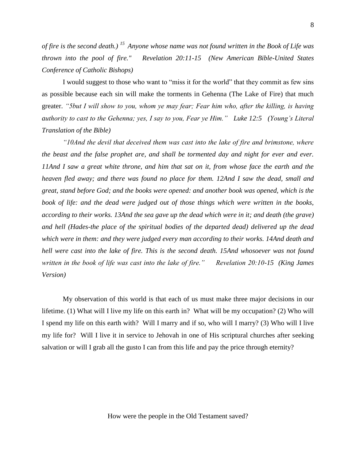*of fire is the second death.) <sup>15</sup>Anyone whose name was not found written in the Book of Life was thrown into the pool of fire." Revelation 20:11-15 (New American Bible-United States Conference of Catholic Bishops)* 

I would suggest to those who want to "miss it for the world" that they commit as few sins as possible because each sin will make the torments in Gehenna (The Lake of Fire) that much greater. *"5but I will show to you, whom ye may fear; Fear him who, after the killing, is having authority to cast to the Gehenna; yes, I say to you, Fear ye Him." Luke 12:5 (Young's Literal Translation of the Bible)* 

*"10And the devil that deceived them was cast into the lake of fire and brimstone, where the beast and the false prophet are, and shall be tormented day and night for ever and ever. 11And I saw a great white throne, and him that sat on it, from whose face the earth and the heaven fled away; and there was found no place for them. 12And I saw the dead, small and great, stand before God; and the books were opened: and another book was opened, which is the*  book of life: and the dead were judged out of those things which were written in the books, *according to their works. 13And the sea gave up the dead which were in it; and death (the grave) and hell (Hades-the place of the spiritual bodies of the departed dead) delivered up the dead which were in them: and they were judged every man according to their works. 14And death and hell were cast into the lake of fire. This is the second death. 15And whosoever was not found written in the book of life was cast into the lake of fire." Revelation 20:10-15 (King James Version)* 

My observation of this world is that each of us must make three major decisions in our lifetime. (1) What will I live my life on this earth in? What will be my occupation? (2) Who will I spend my life on this earth with? Will I marry and if so, who will I marry? (3) Who will I live my life for? Will I live it in service to Jehovah in one of His scriptural churches after seeking salvation or will I grab all the gusto I can from this life and pay the price through eternity?